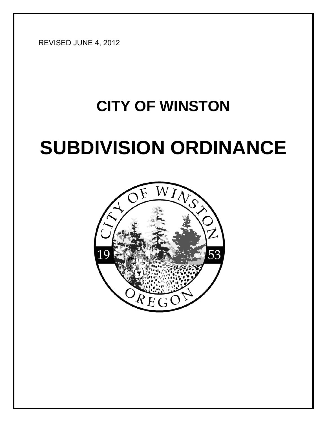REVISED JUNE 4, 2012

# **CITY OF WINSTON SUBDIVISION ORDINANCE**

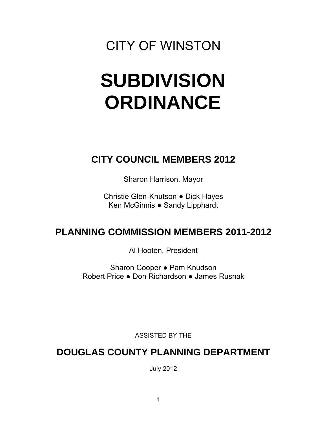## CITY OF WINSTON

## **SUBDIVISION ORDINANCE**

## **CITY COUNCIL MEMBERS 2012**

Sharon Harrison, Mayor

Christie Glen-Knutson ● Dick Hayes Ken McGinnis ● Sandy Lipphardt

## **PLANNING COMMISSION MEMBERS 2011-2012**

Al Hooten, President

Sharon Cooper ● Pam Knudson Robert Price ● Don Richardson ● James Rusnak

ASSISTED BY THE

### **DOUGLAS COUNTY PLANNING DEPARTMENT**

July 2012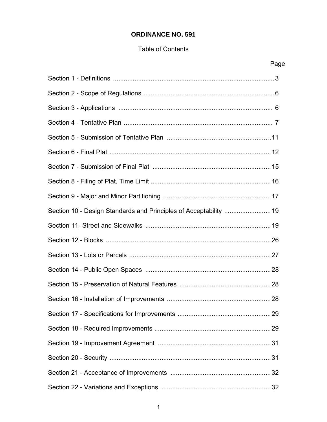#### **ORDINANCE NO. 591**

#### Table of Contents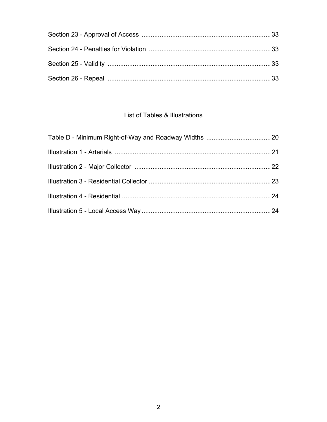#### List of Tables & Illustrations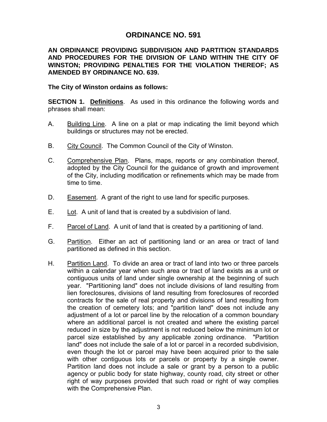#### **ORDINANCE NO. 591**

#### **AN ORDINANCE PROVIDING SUBDIVISION AND PARTITION STANDARDS AND PROCEDURES FOR THE DIVISION OF LAND WITHIN THE CITY OF WINSTON; PROVIDING PENALTIES FOR THE VIOLATION THEREOF; AS AMENDED BY ORDINANCE NO. 639.**

#### **The City of Winston ordains as follows:**

**SECTION 1. Definitions**. As used in this ordinance the following words and phrases shall mean:

- A. Building Line. A line on a plat or map indicating the limit beyond which buildings or structures may not be erected.
- B. City Council. The Common Council of the City of Winston.
- C. Comprehensive Plan. Plans, maps, reports or any combination thereof, adopted by the City Council for the guidance of growth and improvement of the City, including modification or refinements which may be made from time to time.
- D. Easement. A grant of the right to use land for specific purposes.
- E. Lot. A unit of land that is created by a subdivision of land.
- F. Parcel of Land. A unit of land that is created by a partitioning of land.
- G. Partition. Either an act of partitioning land or an area or tract of land partitioned as defined in this section.
- H. Partition Land. To divide an area or tract of land into two or three parcels within a calendar year when such area or tract of land exists as a unit or contiguous units of land under single ownership at the beginning of such year. "Partitioning land" does not include divisions of land resulting from lien foreclosures, divisions of land resulting from foreclosures of recorded contracts for the sale of real property and divisions of land resulting from the creation of cemetery lots; and "partition land" does not include any adjustment of a lot or parcel line by the relocation of a common boundary where an additional parcel is not created and where the existing parcel reduced in size by the adjustment is not reduced below the minimum lot or parcel size established by any applicable zoning ordinance. "Partition land" does not include the sale of a lot or parcel in a recorded subdivision, even though the lot or parcel may have been acquired prior to the sale with other contiguous lots or parcels or property by a single owner. Partition land does not include a sale or grant by a person to a public agency or public body for state highway, county road, city street or other right of way purposes provided that such road or right of way complies with the Comprehensive Plan.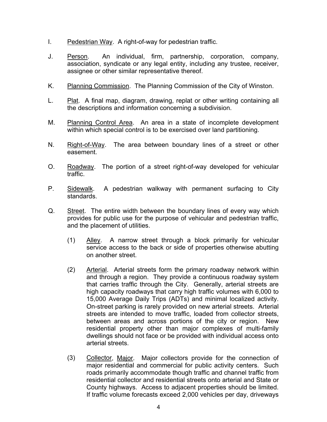- I. Pedestrian Way. A right-of-way for pedestrian traffic.
- J. Person. An individual, firm, partnership, corporation, company, association, syndicate or any legal entity, including any trustee, receiver, assignee or other similar representative thereof.
- K. Planning Commission. The Planning Commission of the City of Winston.
- L. Plat. A final map, diagram, drawing, replat or other writing containing all the descriptions and information concerning a subdivision.
- M. Planning Control Area. An area in a state of incomplete development within which special control is to be exercised over land partitioning.
- N. Right-of-Way. The area between boundary lines of a street or other easement.
- O. Roadway. The portion of a street right-of-way developed for vehicular traffic.
- P. Sidewalk. A pedestrian walkway with permanent surfacing to City standards.
- Q. Street. The entire width between the boundary lines of every way which provides for public use for the purpose of vehicular and pedestrian traffic, and the placement of utilities.
	- (1) Alley. A narrow street through a block primarily for vehicular service access to the back or side of properties otherwise abutting on another street.
	- (2) Arterial. Arterial streets form the primary roadway network within and through a region. They provide a continuous roadway system that carries traffic through the City. Generally, arterial streets are high capacity roadways that carry high traffic volumes with 6,000 to 15,000 Average Daily Trips (ADTs) and minimal localized activity. On-street parking is rarely provided on new arterial streets. Arterial streets are intended to move traffic, loaded from collector streets, between areas and across portions of the city or region. New residential property other than major complexes of multi-family dwellings should not face or be provided with individual access onto arterial streets.
	- (3) Collector, Major. Major collectors provide for the connection of major residential and commercial for public activity centers. Such roads primarily accommodate though traffic and channel traffic from residential collector and residential streets onto arterial and State or County highways. Access to adjacent properties should be limited. If traffic volume forecasts exceed 2,000 vehicles per day, driveways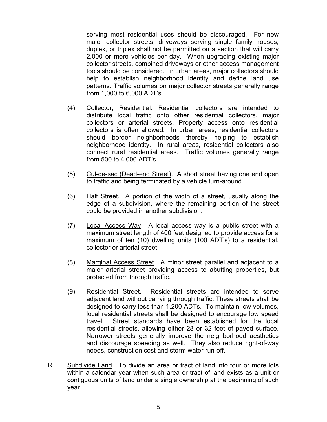serving most residential uses should be discouraged. For new major collector streets, driveways serving single family houses, duplex, or triplex shall not be permitted on a section that will carry 2,000 or more vehicles per day. When upgrading existing major collector streets, combined driveways or other access management tools should be considered. In urban areas, major collectors should help to establish neighborhood identity and define land use patterns. Traffic volumes on major collector streets generally range from 1,000 to 6,000 ADT's.

- (4) Collector, Residential. Residential collectors are intended to distribute local traffic onto other residential collectors, major collectors or arterial streets. Property access onto residential collectors is often allowed. In urban areas, residential collectors should border neighborhoods thereby helping to establish neighborhood identity. In rural areas, residential collectors also connect rural residential areas. Traffic volumes generally range from 500 to 4,000 ADT's.
- (5) Cul-de-sac (Dead-end Street). A short street having one end open to traffic and being terminated by a vehicle turn-around.
- (6) Half Street. A portion of the width of a street, usually along the edge of a subdivision, where the remaining portion of the street could be provided in another subdivision.
- (7) Local Access Way. A local access way is a public street with a maximum street length of 400 feet designed to provide access for a maximum of ten (10) dwelling units (100 ADT's) to a residential, collector or arterial street.
- (8) Marginal Access Street. A minor street parallel and adjacent to a major arterial street providing access to abutting properties, but protected from through traffic.
- (9) Residential Street. Residential streets are intended to serve adjacent land without carrying through traffic. These streets shall be designed to carry less than 1,200 ADTs. To maintain low volumes, local residential streets shall be designed to encourage low speed travel. Street standards have been established for the local residential streets, allowing either 28 or 32 feet of paved surface. Narrower streets generally improve the neighborhood aesthetics and discourage speeding as well. They also reduce right-of-way needs, construction cost and storm water run-off.
- R. Subdivide Land. To divide an area or tract of land into four or more lots within a calendar year when such area or tract of land exists as a unit or contiguous units of land under a single ownership at the beginning of such year.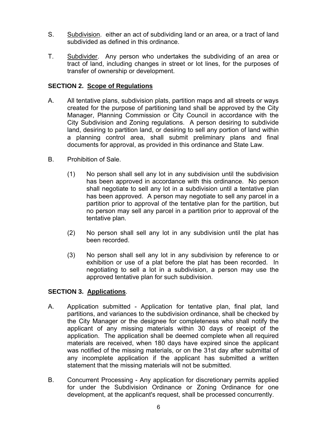- S. Subdivision. either an act of subdividing land or an area, or a tract of land subdivided as defined in this ordinance.
- T. Subdivider. Any person who undertakes the subdividing of an area or tract of land, including changes in street or lot lines, for the purposes of transfer of ownership or development.

#### **SECTION 2. Scope of Regulations**

- A. All tentative plans, subdivision plats, partition maps and all streets or ways created for the purpose of partitioning land shall be approved by the City Manager, Planning Commission or City Council in accordance with the City Subdivision and Zoning regulations. A person desiring to subdivide land, desiring to partition land, or desiring to sell any portion of land within a planning control area, shall submit preliminary plans and final documents for approval, as provided in this ordinance and State Law.
- B. Prohibition of Sale.
	- (1) No person shall sell any lot in any subdivision until the subdivision has been approved in accordance with this ordinance. No person shall negotiate to sell any lot in a subdivision until a tentative plan has been approved. A person may negotiate to sell any parcel in a partition prior to approval of the tentative plan for the partition, but no person may sell any parcel in a partition prior to approval of the tentative plan.
	- (2) No person shall sell any lot in any subdivision until the plat has been recorded.
	- (3) No person shall sell any lot in any subdivision by reference to or exhibition or use of a plat before the plat has been recorded. In negotiating to sell a lot in a subdivision, a person may use the approved tentative plan for such subdivision.

#### **SECTION 3. Applications**.

- A. Application submitted Application for tentative plan, final plat, land partitions, and variances to the subdivision ordinance, shall be checked by the City Manager or the designee for completeness who shall notify the applicant of any missing materials within 30 days of receipt of the application. The application shall be deemed complete when all required materials are received, when 180 days have expired since the applicant was notified of the missing materials, or on the 31st day after submittal of any incomplete application if the applicant has submitted a written statement that the missing materials will not be submitted.
- B. Concurrent Processing Any application for discretionary permits applied for under the Subdivision Ordinance or Zoning Ordinance for one development, at the applicant's request, shall be processed concurrently.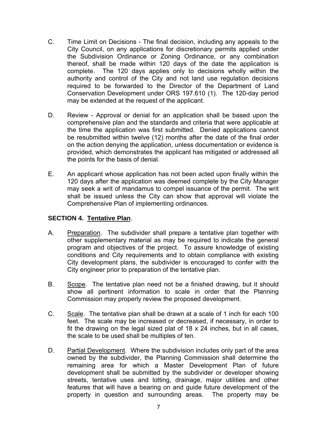- C. Time Limit on Decisions The final decision, including any appeals to the City Council, on any applications for discretionary permits applied under the Subdivision Ordinance or Zoning Ordinance, or any combination thereof, shall be made within 120 days of the date the application is complete. The 120 days applies only to decisions wholly within the authority and control of the City and not land use regulation decisions required to be forwarded to the Director of the Department of Land Conservation Development under ORS 197.610 (1). The 120-day period may be extended at the request of the applicant.
- D. Review Approval or denial for an application shall be based upon the comprehensive plan and the standards and criteria that were applicable at the time the application was first submitted. Denied applications cannot be resubmitted within twelve (12) months after the date of the final order on the action denying the application, unless documentation or evidence is provided, which demonstrates the applicant has mitigated or addressed all the points for the basis of denial.
- E. An applicant whose application has not been acted upon finally within the 120 days after the application was deemed complete by the City Manager may seek a writ of mandamus to compel issuance of the permit. The writ shall be issued unless the City can show that approval will violate the Comprehensive Plan of implementing ordinances.

#### **SECTION 4. Tentative Plan**.

- A. Preparation. The subdivider shall prepare a tentative plan together with other supplementary material as may be required to indicate the general program and objectives of the project. To assure knowledge of existing conditions and City requirements and to obtain compliance with existing City development plans, the subdivider is encouraged to confer with the City engineer prior to preparation of the tentative plan.
- B. Scope. The tentative plan need not be a finished drawing, but it should show all pertinent information to scale in order that the Planning Commission may properly review the proposed development.
- C. Scale. The tentative plan shall be drawn at a scale of 1 inch for each 100 feet. The scale may be increased or decreased, if necessary, in order to fit the drawing on the legal sized plat of 18 x 24 inches, but in all cases, the scale to be used shall be multiples of ten.
- D. Partial Development. Where the subdivision includes only part of the area owned by the subdivider, the Planning Commission shall determine the remaining area for which a Master Development Plan of future development shall be submitted by the subdivider or developer showing streets, tentative uses and lotting, drainage, major utilities and other features that will have a bearing on and guide future development of the property in question and surrounding areas. The property may be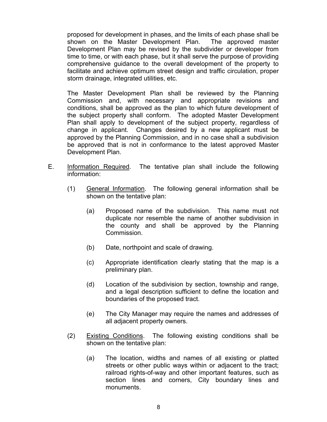proposed for development in phases, and the limits of each phase shall be shown on the Master Development Plan. The approved master Development Plan may be revised by the subdivider or developer from time to time, or with each phase, but it shall serve the purpose of providing comprehensive guidance to the overall development of the property to facilitate and achieve optimum street design and traffic circulation, proper storm drainage, integrated utilities, etc.

The Master Development Plan shall be reviewed by the Planning Commission and, with necessary and appropriate revisions and conditions, shall be approved as the plan to which future development of the subject property shall conform. The adopted Master Development Plan shall apply to development of the subject property, regardless of change in applicant. Changes desired by a new applicant must be approved by the Planning Commission, and in no case shall a subdivision be approved that is not in conformance to the latest approved Master Development Plan.

- E. Information Required. The tentative plan shall include the following information:
	- (1) General Information. The following general information shall be shown on the tentative plan:
		- (a) Proposed name of the subdivision. This name must not duplicate nor resemble the name of another subdivision in the county and shall be approved by the Planning Commission.
		- (b) Date, northpoint and scale of drawing.
		- (c) Appropriate identification clearly stating that the map is a preliminary plan.
		- (d) Location of the subdivision by section, township and range, and a legal description sufficient to define the location and boundaries of the proposed tract.
		- (e) The City Manager may require the names and addresses of all adjacent property owners.
	- (2) Existing Conditions. The following existing conditions shall be shown on the tentative plan:
		- (a) The location, widths and names of all existing or platted streets or other public ways within or adjacent to the tract; railroad rights-of-way and other important features, such as section lines and corners, City boundary lines and monuments.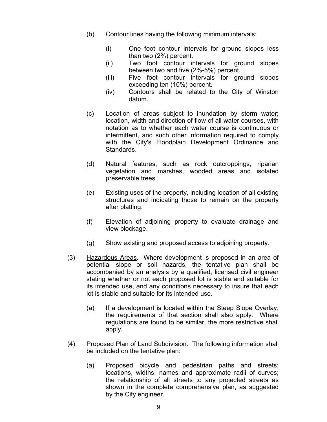- (b) Contour lines having the following minimum intervals:
	- (i) One foot contour intervals for ground slopes less than two (2%) percent.
	- (ii) Two foot contour intervals for ground slopes between two and five (2%-5%) percent.
	- (iii) Five foot contour intervals for ground slopes exceeding ten (10%) percent.
	- (iv) Contours shall be related to the City of Winston datum.
- (c) Location of areas subject to inundation by storm water; location, width and direction of flow of all water courses, with notation as to whether each water course is continuous or intermittent, and such other information required to comply with the City's Floodplain Development Ordinance and Standards.
- (d) Natural features, such as rock outcroppings, riparian vegetation and marshes, wooded areas and isolated preservable trees.
- (e) Existing uses of the property, including location of all existing structures and indicating those to remain on the property after platting.
- (f) Elevation of adjoining property to evaluate drainage and view blockage.
- (g) Show existing and proposed access to adjoining property.
- (3) Hazardous Areas. Where development is proposed in an area of potential slope or soil hazards, the tentative plan shall be accompanied by an analysis by a qualified, licensed civil engineer stating whether or not each proposed lot is stable and suitable for its intended use, and any conditions necessary to insure that each lot is stable and suitable for its intended use.
	- (a) If a development is located within the Steep Slope Overlay, the requirements of that section shall also apply. Where regulations are found to be similar, the more restrictive shall apply.
- (4) Proposed Plan of Land Subdivision. The following information shall be included on the tentative plan:
	- (a) Proposed bicycle and pedestrian paths and streets; locations, widths, names and approximate radii of curves; the relationship of all streets to any projected streets as shown in the complete comprehensive plan, as suggested by the City engineer.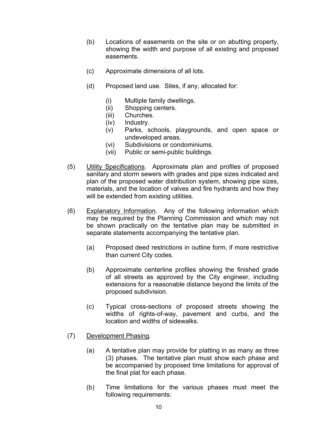- (b) Locations of easements on the site or on abutting property, showing the width and purpose of all existing and proposed easements.
- (c) Approximate dimensions of all lots.
- (d) Proposed land use. Sites, if any, allocated for:
	- (i) Multiple family dwellings.
	- (ii) Shopping centers.
	- (iii) Churches.
	- (iv) Industry.
	- (v) Parks, schools, playgrounds, and open space or undeveloped areas.
	- (vi) Subdivisions or condominiums.
	- (vii) Public or semi-public buildings.
- (5) Utility Specifications. Approximate plan and profiles of proposed sanitary and storm sewers with grades and pipe sizes indicated and plan of the proposed water distribution system, showing pipe sizes, materials, and the location of valves and fire hydrants and how they will be extended from existing utilities.
- (6) Explanatory Information. Any of the following information which may be required by the Planning Commission and which may not be shown practically on the tentative plan may be submitted in separate statements accompanying the tentative plan.
	- (a) Proposed deed restrictions in outline form, if more restrictive than current City codes.
	- (b) Approximate centerline profiles showing the finished grade of all streets as approved by the City engineer, including extensions for a reasonable distance beyond the limits of the proposed subdivision.
	- (c) Typical cross-sections of proposed streets showing the widths of rights-of-way, pavement and curbs, and the location and widths of sidewalks.
- (7) Development Phasing.
	- (a) A tentative plan may provide for platting in as many as three (3) phases. The tentative plan must show each phase and be accompanied by proposed time limitations for approval of the final plat for each phase.
	- (b) Time limitations for the various phases must meet the following requirements: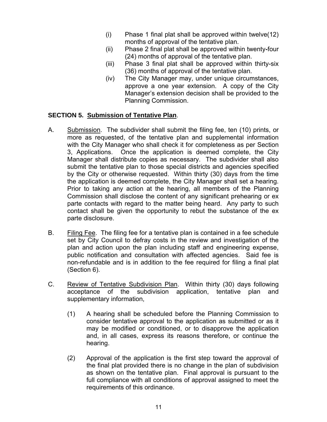- (i) Phase 1 final plat shall be approved within twelve(12) months of approval of the tentative plan.
- (ii) Phase 2 final plat shall be approved within twenty**-**four (24) months of approval of the tentative plan.
- (iii) Phase 3 final plat shall be approved within thirty-six (36) months of approval of the tentative plan.
- (iv) The City Manager may, under unique circumstances, approve a one year extension. A copy of the City Manager's extension decision shall be provided to the Planning Commission.

#### **SECTION 5. Submission of Tentative Plan**.

- A. Submission. The subdivider shall submit the filing fee, ten (10) prints, or more as requested, of the tentative plan and supplemental information with the City Manager who shall check it for completeness as per Section 3, Applications. Once the application is deemed complete, the City Manager shall distribute copies as necessary. The subdivider shall also submit the tentative plan to those special districts and agencies specified by the City or otherwise requested. Within thirty (30) days from the time the application is deemed complete, the City Manager shall set a hearing. Prior to taking any action at the hearing, all members of the Planning Commission shall disclose the content of any significant prehearing or ex parte contacts with regard to the matter being heard. Any party to such contact shall be given the opportunity to rebut the substance of the ex parte disclosure.
- B. Filing Fee. The filing fee for a tentative plan is contained in a fee schedule set by City Council to defray costs in the review and investigation of the plan and action upon the plan including staff and engineering expense, public notification and consultation with affected agencies. Said fee is non-refundable and is in addition to the fee required for filing a final plat (Section 6).
- C. Review of Tentative Subdivision Plan. Within thirty (30) days following acceptance of the subdivision application, tentative plan and supplementary information,
	- (1) A hearing shall be scheduled before the Planning Commission to consider tentative approval to the application as submitted or as it may be modified or conditioned, or to disapprove the application and, in all cases, express its reasons therefore, or continue the hearing.
	- (2) Approval of the application is the first step toward the approval of the final plat provided there is no change in the plan of subdivision as shown on the tentative plan. Final approval is pursuant to the full compliance with all conditions of approval assigned to meet the requirements of this ordinance.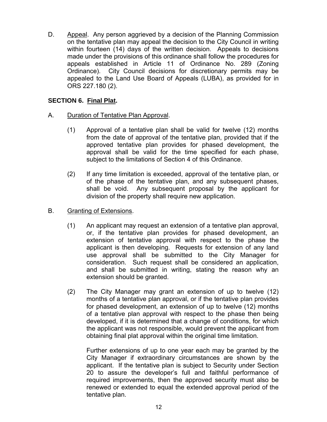D. Appeal. Any person aggrieved by a decision of the Planning Commission on the tentative plan may appeal the decision to the City Council in writing within fourteen (14) days of the written decision. Appeals to decisions made under the provisions of this ordinance shall follow the procedures for appeals established in Article 11 of Ordinance No. 289 (Zoning Ordinance). City Council decisions for discretionary permits may be appealed to the Land Use Board of Appeals (LUBA), as provided for in ORS 227.180 (2).

#### **SECTION 6. Final Plat.**

- A. Duration of Tentative Plan Approval.
	- (1) Approval of a tentative plan shall be valid for twelve (12) months from the date of approval of the tentative plan, provided that if the approved tentative plan provides for phased development, the approval shall be valid for the time specified for each phase, subject to the limitations of Section 4 of this Ordinance.
	- (2) If any time limitation is exceeded, approval of the tentative plan, or of the phase of the tentative plan, and any subsequent phases, shall be void. Any subsequent proposal by the applicant for division of the property shall require new application.

#### B. Granting of Extensions.

- (1) An applicant may request an extension of a tentative plan approval, or, if the tentative plan provides for phased development, an extension of tentative approval with respect to the phase the applicant is then developing. Requests for extension of any land use approval shall be submitted to the City Manager for consideration. Such request shall be considered an application, and shall be submitted in writing, stating the reason why an extension should be granted.
- (2) The City Manager may grant an extension of up to twelve (12) months of a tentative plan approval, or if the tentative plan provides for phased development, an extension of up to twelve (12) months of a tentative plan approval with respect to the phase then being developed, if it is determined that a change of conditions, for which the applicant was not responsible, would prevent the applicant from obtaining final plat approval within the original time limitation.

Further extensions of up to one year each may be granted by the City Manager if extraordinary circumstances are shown by the applicant. If the tentative plan is subject to Security under Section 20 to assure the developer's full and faithful performance of required improvements, then the approved security must also be renewed or extended to equal the extended approval period of the tentative plan.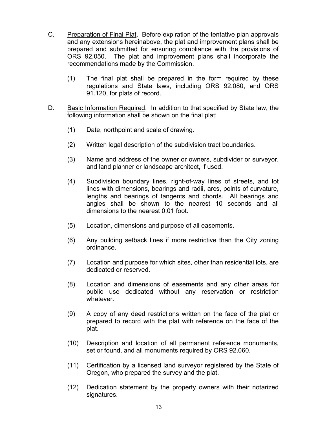- C. Preparation of Final Plat. Before expiration of the tentative plan approvals and any extensions hereinabove, the plat and improvement plans shall be prepared and submitted for ensuring compliance with the provisions of ORS 92.050. The plat and improvement plans shall incorporate the recommendations made by the Commission.
	- (1) The final plat shall be prepared in the form required by these regulations and State laws, including ORS 92.080, and ORS 91.120, for plats of record.
- D. Basic Information Required. In addition to that specified by State law, the following information shall be shown on the final plat:
	- (1) Date, northpoint and scale of drawing.
	- (2) Written legal description of the subdivision tract boundaries.
	- (3) Name and address of the owner or owners, subdivider or surveyor, and land planner or landscape architect, if used.
	- (4) Subdivision boundary lines, right-of-way lines of streets, and lot lines with dimensions, bearings and radii, arcs, points of curvature, lengths and bearings of tangents and chords. All bearings and angles shall be shown to the nearest 10 seconds and all dimensions to the nearest 0.01 foot.
	- (5) Location, dimensions and purpose of all easements.
	- (6) Any building setback lines if more restrictive than the City zoning ordinance.
	- (7) Location and purpose for which sites, other than residential lots, are dedicated or reserved.
	- (8) Location and dimensions of easements and any other areas for public use dedicated without any reservation or restriction whatever.
	- (9) A copy of any deed restrictions written on the face of the plat or prepared to record with the plat with reference on the face of the plat.
	- (10) Description and location of all permanent reference monuments, set or found, and all monuments required by ORS 92.060.
	- (11) Certification by a licensed land surveyor registered by the State of Oregon, who prepared the survey and the plat.
	- (12) Dedication statement by the property owners with their notarized signatures.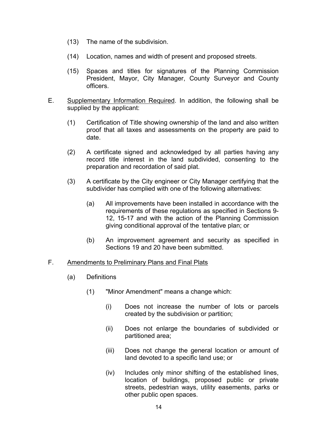- (13) The name of the subdivision.
- (14) Location, names and width of present and proposed streets.
- (15) Spaces and titles for signatures of the Planning Commission President, Mayor, City Manager, County Surveyor and County officers.
- E. Supplementary Information Required. In addition, the following shall be supplied by the applicant:
	- (1) Certification of Title showing ownership of the land and also written proof that all taxes and assessments on the property are paid to date.
	- (2) A certificate signed and acknowledged by all parties having any record title interest in the land subdivided, consenting to the preparation and recordation of said plat.
	- (3) A certificate by the City engineer or City Manager certifying that the subdivider has complied with one of the following alternatives:
		- (a) All improvements have been installed in accordance with the requirements of these regulations as specified in Sections 9- 12, 15-17 and with the action of the Planning Commission giving conditional approval of the tentative plan; or
		- (b) An improvement agreement and security as specified in Sections 19 and 20 have been submitted.

#### F. Amendments to Preliminary Plans and Final Plats

- (a) Definitions
	- (1) "Minor Amendment" means a change which:
		- (i) Does not increase the number of lots or parcels created by the subdivision or partition;
		- (ii) Does not enlarge the boundaries of subdivided or partitioned area;
		- (iii) Does not change the general location or amount of land devoted to a specific land use; or
		- (iv) Includes only minor shifting of the established lines, location of buildings, proposed public or private streets, pedestrian ways, utility easements, parks or other public open spaces.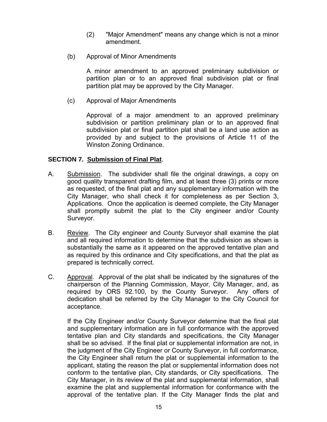- (2) "Major Amendment" means any change which is not a minor amendment.
- (b) Approval of Minor Amendments

A minor amendment to an approved preliminary subdivision or partition plan or to an approved final subdivision plat or final partition plat may be approved by the City Manager.

(c) Approval of Major Amendments

Approval of a major amendment to an approved preliminary subdivision or partition preliminary plan or to an approved final subdivision plat or final partition plat shall be a land use action as provided by and subject to the provisions of Article 11 of the Winston Zoning Ordinance.

#### **SECTION 7. Submission of Final Plat**.

- A. Submission. The subdivider shall file the original drawings, a copy on good quality transparent drafting film, and at least three (3) prints or more as requested, of the final plat and any supplementary information with the City Manager, who shall check it for completeness as per Section 3, Applications. Once the application is deemed complete, the City Manager shall promptly submit the plat to the City engineer and/or County Surveyor.
- B. Review. The City engineer and County Surveyor shall examine the plat and all required information to determine that the subdivision as shown is substantially the same as it appeared on the approved tentative plan and as required by this ordinance and City specifications, and that the plat as prepared is technically correct.
- C. Approval. Approval of the plat shall be indicated by the signatures of the chairperson of the Planning Commission, Mayor, City Manager, and, as required by ORS 92.100, by the County Surveyor. Any offers of dedication shall be referred by the City Manager to the City Council for acceptance.

If the City Engineer and/or County Surveyor determine that the final plat and supplementary information are in full conformance with the approved tentative plan and City standards and specifications, the City Manager shall be so advised. If the final plat or supplemental information are not, in the judgment of the City Engineer or County Surveyor, in full conformance, the City Engineer shall return the plat or supplemental information to the applicant, stating the reason the plat or supplemental information does not conform to the tentative plan, City standards, or City specifications. The City Manager, in its review of the plat and supplemental information, shall examine the plat and supplemental information for conformance with the approval of the tentative plan. If the City Manager finds the plat and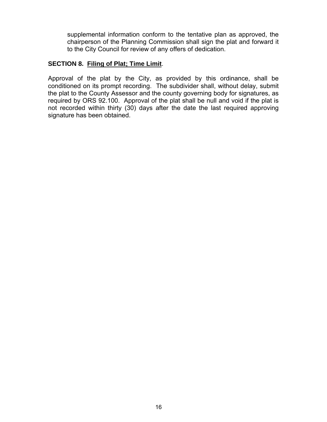supplemental information conform to the tentative plan as approved, the chairperson of the Planning Commission shall sign the plat and forward it to the City Council for review of any offers of dedication.

#### **SECTION 8. Filing of Plat; Time Limit**.

Approval of the plat by the City, as provided by this ordinance, shall be conditioned on its prompt recording. The subdivider shall, without delay, submit the plat to the County Assessor and the county governing body for signatures, as required by ORS 92.100. Approval of the plat shall be null and void if the plat is not recorded within thirty (30) days after the date the last required approving signature has been obtained.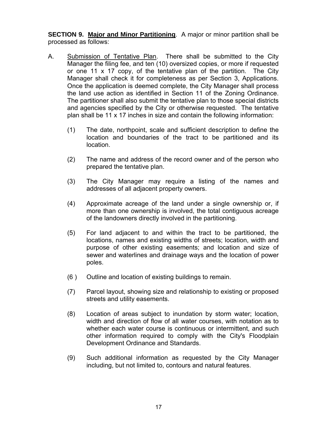**SECTION 9. Major and Minor Partitioning**. A major or minor partition shall be processed as follows:

- A. Submission of Tentative Plan. There shall be submitted to the City Manager the filing fee, and ten (10) oversized copies, or more if requested or one 11 x 17 copy, of the tentative plan of the partition. The City Manager shall check it for completeness as per Section 3, Applications. Once the application is deemed complete, the City Manager shall process the land use action as identified in Section 11 of the Zoning Ordinance. The partitioner shall also submit the tentative plan to those special districts and agencies specified by the City or otherwise requested. The tentative plan shall be 11 x 17 inches in size and contain the following information:
	- (1) The date, northpoint, scale and sufficient description to define the location and boundaries of the tract to be partitioned and its location.
	- (2) The name and address of the record owner and of the person who prepared the tentative plan.
	- (3) The City Manager may require a listing of the names and addresses of all adjacent property owners.
	- (4) Approximate acreage of the land under a single ownership or, if more than one ownership is involved, the total contiguous acreage of the landowners directly involved in the partitioning.
	- (5) For land adjacent to and within the tract to be partitioned, the locations, names and existing widths of streets; location, width and purpose of other existing easements; and location and size of sewer and waterlines and drainage ways and the location of power poles.
	- (6 ) Outline and location of existing buildings to remain.
	- (7) Parcel layout, showing size and relationship to existing or proposed streets and utility easements.
	- (8) Location of areas subject to inundation by storm water; location, width and direction of flow of all water courses, with notation as to whether each water course is continuous or intermittent, and such other information required to comply with the City's Floodplain Development Ordinance and Standards.
	- (9) Such additional information as requested by the City Manager including, but not limited to, contours and natural features.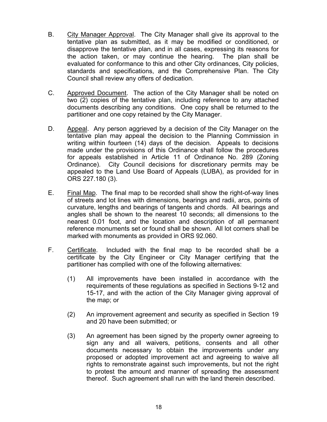- B. City Manager Approval. The City Manager shall give its approval to the tentative plan as submitted, as it may be modified or conditioned, or disapprove the tentative plan, and in all cases, expressing its reasons for the action taken, or may continue the hearing. The plan shall be evaluated for conformance to this and other City ordinances, City policies, standards and specifications, and the Comprehensive Plan. The City Council shall review any offers of dedication.
- C. Approved Document. The action of the City Manager shall be noted on two (2) copies of the tentative plan, including reference to any attached documents describing any conditions. One copy shall be returned to the partitioner and one copy retained by the City Manager.
- D. Appeal. Any person aggrieved by a decision of the City Manager on the tentative plan may appeal the decision to the Planning Commission in writing within fourteen (14) days of the decision. Appeals to decisions made under the provisions of this Ordinance shall follow the procedures for appeals established in Article 11 of Ordinance No. 289 (Zoning Ordinance). City Council decisions for discretionary permits may be appealed to the Land Use Board of Appeals (LUBA), as provided for in ORS 227.180 (3).
- E. Final Map. The final map to be recorded shall show the right-of-way lines of streets and lot lines with dimensions, bearings and radii, arcs, points of curvature, lengths and bearings of tangents and chords. All bearings and angles shall be shown to the nearest 10 seconds; all dimensions to the nearest 0.01 foot, and the location and description of all permanent reference monuments set or found shall be shown. All lot corners shall be marked with monuments as provided in ORS 92.060.
- F. Certificate. Included with the final map to be recorded shall be a certificate by the City Engineer or City Manager certifying that the partitioner has complied with one of the following alternatives:
	- (1) All improvements have been installed in accordance with the requirements of these regulations as specified in Sections 9-12 and 15-17, and with the action of the City Manager giving approval of the map; or
	- (2) An improvement agreement and security as specified in Section 19 and 20 have been submitted; or
	- (3) An agreement has been signed by the property owner agreeing to sign any and all waivers, petitions, consents and all other documents necessary to obtain the improvements under any proposed or adopted improvement act and agreeing to waive all rights to remonstrate against such improvements, but not the right to protest the amount and manner of spreading the assessment thereof. Such agreement shall run with the land therein described.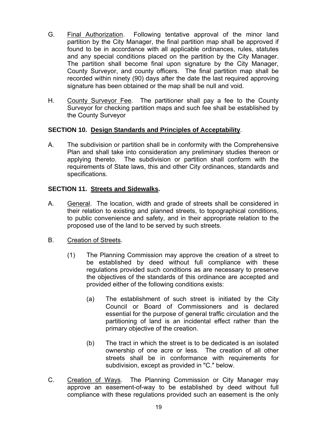- G. Final Authorization. Following tentative approval of the minor land partition by the City Manager, the final partition map shall be approved if found to be in accordance with all applicable ordinances, rules, statutes and any special conditions placed on the partition by the City Manager. The partition shall become final upon signature by the City Manager, County Surveyor, and county officers. The final partition map shall be recorded within ninety (90) days after the date the last required approving signature has been obtained or the map shall be null and void.
- H. County Surveyor Fee. The partitioner shall pay a fee to the County Surveyor for checking partition maps and such fee shall be established by the County Surveyor

#### **SECTION 10. Design Standards and Principles of Acceptability**.

A. The subdivision or partition shall be in conformity with the Comprehensive Plan and shall take into consideration any preliminary studies thereon or applying thereto. The subdivision or partition shall conform with the requirements of State laws, this and other City ordinances, standards and specifications.

#### **SECTION 11. Streets and Sidewalks.**

A. General. The location, width and grade of streets shall be considered in their relation to existing and planned streets, to topographical conditions, to public convenience and safety, and in their appropriate relation to the proposed use of the land to be served by such streets.

#### B. Creation of Streets.

- (1) The Planning Commission may approve the creation of a street to be established by deed without full compliance with these regulations provided such conditions as are necessary to preserve the objectives of the standards of this ordinance are accepted and provided either of the following conditions exists:
	- (a) The establishment of such street is initiated by the City Council or Board of Commissioners and is declared essential for the purpose of general traffic circulation and the partitioning of land is an incidental effect rather than the primary objective of the creation.
	- (b) The tract in which the street is to be dedicated is an isolated ownership of one acre or less. The creation of all other streets shall be in conformance with requirements for subdivision, except as provided in "C." below.
- C. Creation of Ways. The Planning Commission or City Manager may approve an easement-of-way to be established by deed without full compliance with these regulations provided such an easement is the only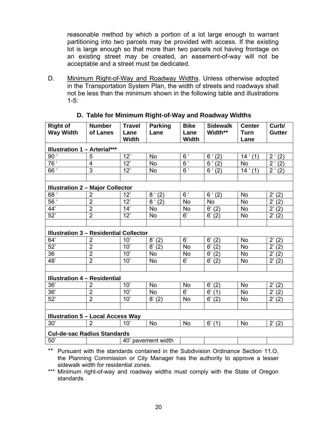reasonable method by which a portion of a lot large enough to warrant partitioning into two parcels may be provided with access. If the existing lot is large enough so that more than two parcels not having frontage on an existing street may be created, an easement-of-way will not be acceptable and a street must be dedicated.

D. Minimum Right-of-Way and Roadway Widths. Unless otherwise adopted in the Transportation System Plan, the width of streets and roadways shall not be less than the minimum shown in the following table and illustrations  $1 - 5$ :

| <b>Right of</b>                               | <b>Number</b>                       | <b>Travel</b><br><b>Parking</b> |                       | <b>Bike</b>    | <b>Sidewalk</b>       | <b>Center</b> | Curb/                 |  |  |
|-----------------------------------------------|-------------------------------------|---------------------------------|-----------------------|----------------|-----------------------|---------------|-----------------------|--|--|
| <b>Way Width</b>                              | of Lanes                            | Lane                            | Lane                  | Lane           | Width**               | <b>Turn</b>   | <b>Gutter</b>         |  |  |
|                                               |                                     | <b>Width</b>                    |                       | <b>Width</b>   |                       | Lane          |                       |  |  |
|                                               | <b>Illustration 1 - Arterial***</b> |                                 |                       |                |                       |               |                       |  |  |
| 90 <sup>1</sup>                               | 5                                   | 12'                             | <b>No</b>             | 6 <sup>′</sup> | 6'(2)                 | 14' (1)       | 2'(2)                 |  |  |
| 76 '                                          | $\overline{\mathbf{4}}$             | 12'                             | <b>No</b>             | $6^{\circ}$    | 6 <sup>′</sup><br>(2) | <b>No</b>     | 2 <sup>1</sup><br>(2) |  |  |
| 66 <sup>°</sup>                               | $\overline{3}$                      | 12'                             | <b>No</b>             | $6^{\circ}$    | 6 <sup>′</sup><br>(2) | 14' (1)       | 2 <sup>1</sup><br>(2) |  |  |
|                                               |                                     |                                 |                       |                |                       |               |                       |  |  |
| <b>Illustration 2 - Major Collector</b>       |                                     |                                 |                       |                |                       |               |                       |  |  |
| 68 <sup>1</sup>                               | $\overline{2}$                      | 12'                             | 8'(2)                 | $6^{\circ}$    | 6'(2)                 | <b>No</b>     | $2^{i} (2)$           |  |  |
| 56 <sup>1</sup>                               | $\overline{2}$                      | 12'                             | 8 <sup>°</sup><br>(2) | No             | No                    | <b>No</b>     | $2^{\prime}$<br>(2)   |  |  |
| 44'                                           | $\overline{2}$                      | 14'                             | <b>No</b>             | No             | 6' (2)                | No            | (2)<br>$2^{\prime}$   |  |  |
| 52'                                           | $\overline{2}$                      | 12'                             | <b>No</b>             | 6'             | 6' (2)                | <b>No</b>     | 2' (2)                |  |  |
|                                               |                                     |                                 |                       |                |                       |               |                       |  |  |
| <b>Illustration 3 - Residential Collector</b> |                                     |                                 |                       |                |                       |               |                       |  |  |
| 64'                                           | $\overline{2}$                      | 10'                             | 8' (2)                | 6'             | 6'<br>(2)             | <b>No</b>     | 2' (2)                |  |  |
| 52'                                           | $\overline{2}$                      | 10'                             | 8' (2)                | <b>No</b>      | 6'<br>(2)             | <b>No</b>     | $2^{\prime}$<br>(2)   |  |  |
| 36                                            | $\overline{2}$                      | 10'                             | No                    | No             | 6'<br>(2)             | <b>No</b>     | $2^{\prime}$<br>(2)   |  |  |
| 48'                                           | $\overline{2}$                      | 10'<br><b>No</b>                |                       | 6'             | 6'<br>(2)             | <b>No</b>     | 2'<br>(2)             |  |  |
|                                               |                                     |                                 |                       |                |                       |               |                       |  |  |
| <b>Illustration 4 - Residential</b>           |                                     |                                 |                       |                |                       |               |                       |  |  |
| 36'                                           | $\overline{2}$                      | 10'                             | <b>No</b>             | No             | 6'<br>(2)             | <b>No</b>     | 2' (2)                |  |  |
| 36'                                           | $\overline{2}$                      | 10'                             | <b>No</b>             | 6'             | 6'<br>(1)             | <b>No</b>     | $2^{\prime}$<br>(2)   |  |  |
| 52'                                           | $\overline{2}$                      | 10'                             | 8' (2)                | <b>No</b>      | 6'<br>(2)             | No            | 2' (2)                |  |  |
|                                               |                                     |                                 |                       |                |                       |               |                       |  |  |
| <b>Illustration 5 - Local Access Way</b>      |                                     |                                 |                       |                |                       |               |                       |  |  |
| 30'                                           | $\overline{2}$                      | 10'                             | <b>No</b>             | <b>No</b>      | $6'$ (1)              | <b>No</b>     | 2' (2)                |  |  |
| <b>Cul-de-sac Radius Standards</b>            |                                     |                                 |                       |                |                       |               |                       |  |  |
| 50'                                           |                                     |                                 | 40' pavement width    |                |                       |               |                       |  |  |

#### **D. Table for Minimum Right-of-Way and Roadway Widths**

\*\* Pursuant with the standards contained in the Subdivision Ordinance Section 11.O, the Planning Commission or City Manager has the authority to approve a lesser sidewalk width for residential zones.

\*\*\* Minimum right-of-way and roadway widths must comply with the State of Oregon standards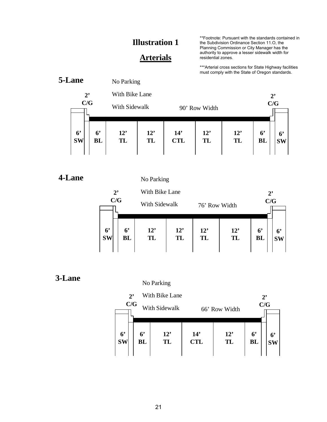#### **Arterials**

\*\*Footnote: Pursuant with the standards contained in the Subdivision Ordinance Section 11.O, the Planning Commission or City Manager has the authority to approve a lesser sidewalk width for residential zones.

\*\*\*Arterial cross sections for State Highway facilities must comply with the State of Oregon standards.



#### **4-Lane**

No Parking

|                | 2 <sup>2</sup><br>C/G |                | With Bike Lane<br>With Sidewalk |     | 76' Row Width |     |                | $2^{\circ}$<br>C/G |
|----------------|-----------------------|----------------|---------------------------------|-----|---------------|-----|----------------|--------------------|
| 6 <sup>°</sup> |                       | 6 <sup>°</sup> | 12'                             | 12' | 12'           | 12' | 6 <sup>°</sup> | 6'                 |
| <b>SW</b>      |                       | BL             | TL                              | TL  | TL            | TL  | <b>BL</b>      | <b>SW</b>          |

#### **3-Lane**

No Parking

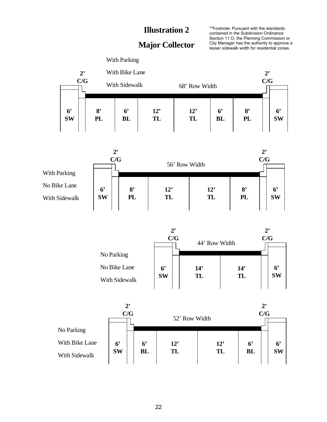#### **Major Collector**

\*\*Footnote: Pursuant with the standards contained in the Subdivision Ordinance Section 11.O, the Planning Commission or City Manager has the authority to approve a lesser sidewalk width for residential zones.

**2' C/G 6' BL 6' SW 8' PL 12' TL 2' C/G 6' BL 6' SW 8' PL 12' TL** With Parking With Bike Lane With Sidewalk 68' Row Width



|                               | $2^,$<br>C/G                |           | 44' Row Width |  |                             |
|-------------------------------|-----------------------------|-----------|---------------|--|-----------------------------|
| No Parking                    |                             |           |               |  |                             |
| No Bike Lane<br>With Sidewalk | 6 <sup>°</sup><br><b>SW</b> | 14'<br>TL | 14'<br>TL     |  | 6 <sup>°</sup><br><b>SW</b> |

|                | $2^{\circ}$<br>C/G          | 52' Row Width               |           |           | $2^{\circ}$<br>C/G          |                 |  |
|----------------|-----------------------------|-----------------------------|-----------|-----------|-----------------------------|-----------------|--|
| No Parking     |                             |                             |           |           |                             |                 |  |
| With Bike Lane | 6 <sup>°</sup><br><b>SW</b> | 6 <sup>°</sup><br><b>BL</b> | 12'<br>TL | 12'<br>TL | 6 <sup>°</sup><br><b>BL</b> | 6'<br><b>SW</b> |  |
| With Sidewalk  |                             |                             |           |           |                             |                 |  |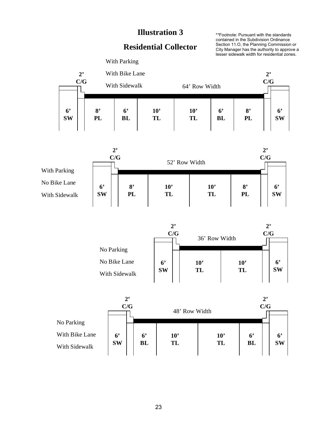#### **Residential Collector**

\*\*Footnote: Pursuant with the standards contained in the Subdivision Ordinance Section 11.O, the Planning Commission or City Manager has the authority to approve a lesser sidewalk width for residential zones.







|                | $2^,$                       | C/G |                             | 48' Row Width      |                    |                          | 2 <sup>2</sup><br>C/G |                             |
|----------------|-----------------------------|-----|-----------------------------|--------------------|--------------------|--------------------------|-----------------------|-----------------------------|
| No Parking     |                             |     |                             |                    |                    |                          |                       |                             |
| With Bike Lane | 6 <sup>°</sup><br><b>SW</b> |     | 6 <sup>°</sup><br><b>BL</b> | $10^{\circ}$<br>TL | $10^{\circ}$<br>TL | $6^{\circ}$<br><b>BL</b> |                       | 6 <sup>°</sup><br><b>SW</b> |
| With Sidewalk  |                             |     |                             |                    |                    |                          |                       |                             |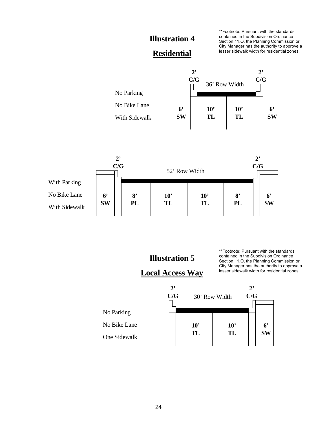\*\*Footnote: Pursuant with the standards contained in the Subdivision Ordinance Section 11.O, the Planning Commission or City Manager has the authority to approve a lesser sidewalk width for residential zones.

**2'**

#### **Residential**

**2'**



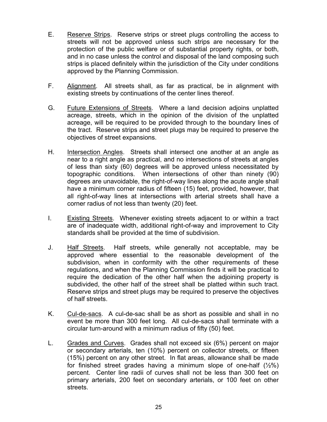- E. Reserve Strips. Reserve strips or street plugs controlling the access to streets will not be approved unless such strips are necessary for the protection of the public welfare or of substantial property rights, or both, and in no case unless the control and disposal of the land composing such strips is placed definitely within the jurisdiction of the City under conditions approved by the Planning Commission.
- F. Alignment. All streets shall, as far as practical, be in alignment with existing streets by continuations of the center lines thereof.
- G. Future Extensions of Streets. Where a land decision adjoins unplatted acreage, streets, which in the opinion of the division of the unplatted acreage, will be required to be provided through to the boundary lines of the tract. Reserve strips and street plugs may be required to preserve the objectives of street expansions.
- H. Intersection Angles. Streets shall intersect one another at an angle as near to a right angle as practical, and no intersections of streets at angles of less than sixty (60) degrees will be approved unless necessitated by topographic conditions. When intersections of other than ninety (90) degrees are unavoidable, the right-of-way lines along the acute angle shall have a minimum corner radius of fifteen (15) feet, provided, however, that all right-of-way lines at intersections with arterial streets shall have a corner radius of not less than twenty (20) feet.
- I. Existing Streets. Whenever existing streets adjacent to or within a tract are of inadequate width, additional right-of-way and improvement to City standards shall be provided at the time of subdivision.
- J. Half Streets. Half streets, while generally not acceptable, may be approved where essential to the reasonable development of the subdivision, when in conformity with the other requirements of these regulations, and when the Planning Commission finds it will be practical to require the dedication of the other half when the adjoining property is subdivided, the other half of the street shall be platted within such tract. Reserve strips and street plugs may be required to preserve the objectives of half streets.
- K. Cul-de-sacs. A cul-de-sac shall be as short as possible and shall in no event be more than 300 feet long. All cul-de-sacs shall terminate with a circular turn-around with a minimum radius of fifty (50) feet.
- L. Grades and Curves. Grades shall not exceed six (6%) percent on major or secondary arterials, ten (10%) percent on collector streets, or fifteen (15%) percent on any other street. In flat areas, allowance shall be made for finished street grades having a minimum slope of one-half  $(\frac{1}{2}\%)$ percent. Center line radii of curves shall not be less than 300 feet on primary arterials, 200 feet on secondary arterials, or 100 feet on other streets.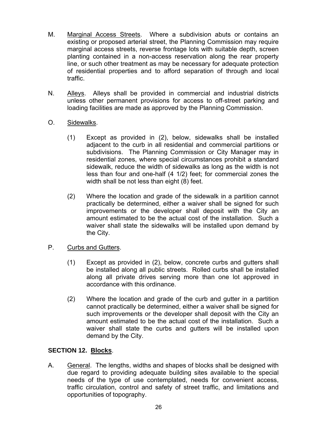- M. Marginal Access Streets. Where a subdivision abuts or contains an existing or proposed arterial street, the Planning Commission may require marginal access streets, reverse frontage lots with suitable depth, screen planting contained in a non-access reservation along the rear property line, or such other treatment as may be necessary for adequate protection of residential properties and to afford separation of through and local traffic.
- N. Alleys. Alleys shall be provided in commercial and industrial districts unless other permanent provisions for access to off-street parking and loading facilities are made as approved by the Planning Commission.
- O. Sidewalks.
	- (1) Except as provided in (2), below, sidewalks shall be installed adjacent to the curb in all residential and commercial partitions or subdivisions. The Planning Commission or City Manager may in residential zones, where special circumstances prohibit a standard sidewalk, reduce the width of sidewalks as long as the width is not less than four and one-half (4 1/2) feet; for commercial zones the width shall be not less than eight (8) feet.
	- (2) Where the location and grade of the sidewalk in a partition cannot practically be determined, either a waiver shall be signed for such improvements or the developer shall deposit with the City an amount estimated to be the actual cost of the installation. Such a waiver shall state the sidewalks will be installed upon demand by the City.
- P. Curbs and Gutters.
	- (1) Except as provided in (2), below, concrete curbs and gutters shall be installed along all public streets. Rolled curbs shall be installed along all private drives serving more than one lot approved in accordance with this ordinance.
	- (2) Where the location and grade of the curb and gutter in a partition cannot practically be determined, either a waiver shall be signed for such improvements or the developer shall deposit with the City an amount estimated to be the actual cost of the installation. Such a waiver shall state the curbs and gutters will be installed upon demand by the City.

#### **SECTION 12. Blocks**.

A. General. The lengths, widths and shapes of blocks shall be designed with due regard to providing adequate building sites available to the special needs of the type of use contemplated, needs for convenient access, traffic circulation, control and safety of street traffic, and limitations and opportunities of topography.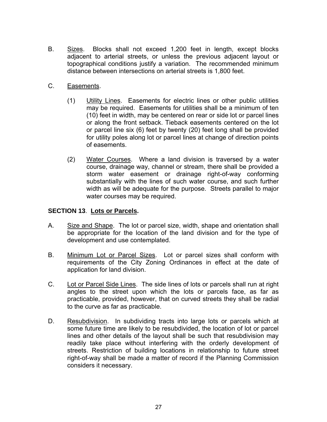- B. Sizes. Blocks shall not exceed 1,200 feet in length, except blocks adjacent to arterial streets, or unless the previous adjacent layout or topographical conditions justify a variation. The recommended minimum distance between intersections on arterial streets is 1,800 feet.
- C. Easements.
	- (1) Utility Lines. Easements for electric lines or other public utilities may be required. Easements for utilities shall be a minimum of ten (10) feet in width, may be centered on rear or side lot or parcel lines or along the front setback. Tieback easements centered on the lot or parcel line six (6) feet by twenty (20) feet long shall be provided for utility poles along lot or parcel lines at change of direction points of easements.
	- (2) Water Courses. Where a land division is traversed by a water course, drainage way, channel or stream, there shall be provided a storm water easement or drainage right-of-way conforming substantially with the lines of such water course, and such further width as will be adequate for the purpose. Streets parallel to major water courses may be required.

#### **SECTION 13**. **Lots or Parcels.**

- A. Size and Shape. The lot or parcel size, width, shape and orientation shall be appropriate for the location of the land division and for the type of development and use contemplated.
- B. Minimum Lot or Parcel Sizes. Lot or parcel sizes shall conform with requirements of the City Zoning Ordinances in effect at the date of application for land division.
- C. Lot or Parcel Side Lines. The side lines of lots or parcels shall run at right angles to the street upon which the lots or parcels face, as far as practicable, provided, however, that on curved streets they shall be radial to the curve as far as practicable.
- D. Resubdivision. In subdividing tracts into large lots or parcels which at some future time are likely to be resubdivided, the location of lot or parcel lines and other details of the layout shall be such that resubdivision may readily take place without interfering with the orderly development of streets. Restriction of building locations in relationship to future street right-of-way shall be made a matter of record if the Planning Commission considers it necessary.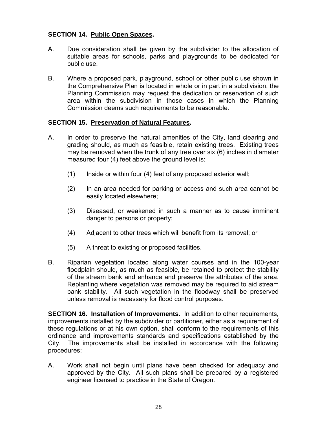#### **SECTION 14. Public Open Spaces.**

- A. Due consideration shall be given by the subdivider to the allocation of suitable areas for schools, parks and playgrounds to be dedicated for public use.
- B. Where a proposed park, playground, school or other public use shown in the Comprehensive Plan is located in whole or in part in a subdivision, the Planning Commission may request the dedication or reservation of such area within the subdivision in those cases in which the Planning Commission deems such requirements to be reasonable.

#### **SECTION 15. Preservation of Natural Features.**

- A. In order to preserve the natural amenities of the City, land clearing and grading should, as much as feasible, retain existing trees. Existing trees may be removed when the trunk of any tree over six (6) inches in diameter measured four (4) feet above the ground level is:
	- (1) Inside or within four (4) feet of any proposed exterior wall;
	- (2) In an area needed for parking or access and such area cannot be easily located elsewhere;
	- (3) Diseased, or weakened in such a manner as to cause imminent danger to persons or property;
	- (4) Adjacent to other trees which will benefit from its removal; or
	- (5) A threat to existing or proposed facilities.
- B. Riparian vegetation located along water courses and in the 100-year floodplain should, as much as feasible, be retained to protect the stability of the stream bank and enhance and preserve the attributes of the area. Replanting where vegetation was removed may be required to aid stream bank stability. All such vegetation in the floodway shall be preserved unless removal is necessary for flood control purposes.

**SECTION 16. Installation of Improvements.** In addition to other requirements, improvements installed by the subdivider or partitioner, either as a requirement of these regulations or at his own option, shall conform to the requirements of this ordinance and improvements standards and specifications established by the City. The improvements shall be installed in accordance with the following procedures:

A. Work shall not begin until plans have been checked for adequacy and approved by the City. All such plans shall be prepared by a registered engineer licensed to practice in the State of Oregon.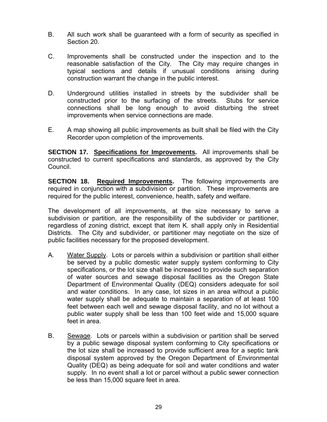- B. All such work shall be guaranteed with a form of security as specified in Section 20.
- C. Improvements shall be constructed under the inspection and to the reasonable satisfaction of the City. The City may require changes in typical sections and details if unusual conditions arising during construction warrant the change in the public interest.
- D. Underground utilities installed in streets by the subdivider shall be constructed prior to the surfacing of the streets. Stubs for service connections shall be long enough to avoid disturbing the street improvements when service connections are made.
- E. A map showing all public improvements as built shall be filed with the City Recorder upon completion of the improvements.

**SECTION 17. Specifications for Improvements.** All improvements shall be constructed to current specifications and standards, as approved by the City Council.

**SECTION 18. Required Improvements.** The following improvements are required in conjunction with a subdivision or partition. These improvements are required for the public interest, convenience, health, safety and welfare.

The development of all improvements, at the size necessary to serve a subdivision or partition, are the responsibility of the subdivider or partitioner, regardless of zoning district, except that item K. shall apply only in Residential Districts. The City and subdivider, or partitioner may negotiate on the size of public facilities necessary for the proposed development.

- A. Water Supply. Lots or parcels within a subdivision or partition shall either be served by a public domestic water supply system conforming to City specifications, or the lot size shall be increased to provide such separation of water sources and sewage disposal facilities as the Oregon State Department of Environmental Quality (DEQ) considers adequate for soil and water conditions. In any case, lot sizes in an area without a public water supply shall be adequate to maintain a separation of at least 100 feet between each well and sewage disposal facility, and no lot without a public water supply shall be less than 100 feet wide and 15,000 square feet in area.
- B. Sewage. Lots or parcels within a subdivision or partition shall be served by a public sewage disposal system conforming to City specifications or the lot size shall be increased to provide sufficient area for a septic tank disposal system approved by the Oregon Department of Environmental Quality (DEQ) as being adequate for soil and water conditions and water supply. In no event shall a lot or parcel without a public sewer connection be less than 15,000 square feet in area.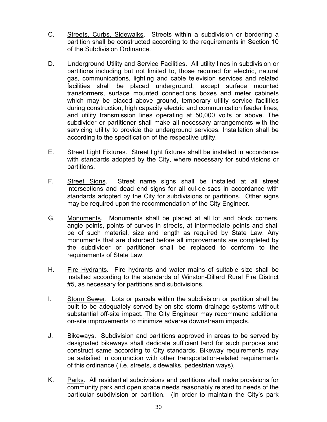- C. Streets, Curbs, Sidewalks. Streets within a subdivision or bordering a partition shall be constructed according to the requirements in Section 10 of the Subdivision Ordinance.
- D. Underground Utility and Service Facilities. All utility lines in subdivision or partitions including but not limited to, those required for electric, natural gas, communications, lighting and cable television services and related facilities shall be placed underground, except surface mounted transformers, surface mounted connections boxes and meter cabinets which may be placed above ground, temporary utility service facilities during construction, high capacity electric and communication feeder lines, and utility transmission lines operating at 50,000 volts or above. The subdivider or partitioner shall make all necessary arrangements with the servicing utility to provide the underground services. Installation shall be according to the specification of the respective utility.
- E. Street Light Fixtures. Street light fixtures shall be installed in accordance with standards adopted by the City, where necessary for subdivisions or partitions.
- F. Street Signs. Street name signs shall be installed at all street intersections and dead end signs for all cul-de-sacs in accordance with standards adopted by the City for subdivisions or partitions. Other signs may be required upon the recommendation of the City Engineer.
- G. Monuments. Monuments shall be placed at all lot and block corners, angle points, points of curves in streets, at intermediate points and shall be of such material, size and length as required by State Law. Any monuments that are disturbed before all improvements are completed by the subdivider or partitioner shall be replaced to conform to the requirements of State Law.
- H. Fire Hydrants. Fire hydrants and water mains of suitable size shall be installed according to the standards of Winston-Dillard Rural Fire District #5, as necessary for partitions and subdivisions.
- I. Storm Sewer. Lots or parcels within the subdivision or partition shall be built to be adequately served by on-site storm drainage systems without substantial off-site impact. The City Engineer may recommend additional on-site improvements to minimize adverse downstream impacts.
- J. Bikeways. Subdivision and partitions approved in areas to be served by designated bikeways shall dedicate sufficient land for such purpose and construct same according to City standards. Bikeway requirements may be satisfied in conjunction with other transportation-related requirements of this ordinance ( i.e. streets, sidewalks, pedestrian ways).
- K. Parks. All residential subdivisions and partitions shall make provisions for community park and open space needs reasonably related to needs of the particular subdivision or partition. (In order to maintain the City's park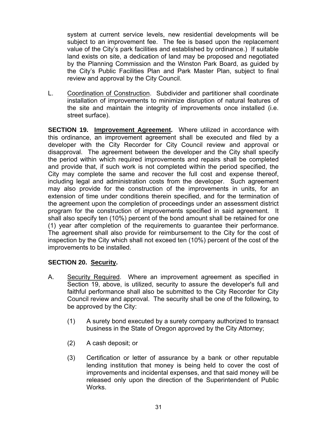system at current service levels, new residential developments will be subject to an improvement fee. The fee is based upon the replacement value of the City's park facilities and established by ordinance.) If suitable land exists on site, a dedication of land may be proposed and negotiated by the Planning Commission and the Winston Park Board, as guided by the City's Public Facilities Plan and Park Master Plan, subject to final review and approval by the City Council.

L. Coordination of Construction. Subdivider and partitioner shall coordinate installation of improvements to minimize disruption of natural features of the site and maintain the integrity of improvements once installed (i.e. street surface).

**SECTION 19. Improvement Agreement.** Where utilized in accordance with this ordinance, an improvement agreement shall be executed and filed by a developer with the City Recorder for City Council review and approval or disapproval. The agreement between the developer and the City shall specify the period within which required improvements and repairs shall be completed and provide that, if such work is not completed within the period specified, the City may complete the same and recover the full cost and expense thereof, including legal and administration costs from the developer. Such agreement may also provide for the construction of the improvements in units, for an extension of time under conditions therein specified, and for the termination of the agreement upon the completion of proceedings under an assessment district program for the construction of improvements specified in said agreement. It shall also specify ten (10%) percent of the bond amount shall be retained for one (1) year after completion of the requirements to guarantee their performance. The agreement shall also provide for reimbursement to the City for the cost of inspection by the City which shall not exceed ten (10%) percent of the cost of the improvements to be installed.

#### **SECTION 20. Security.**

- A. Security Required. Where an improvement agreement as specified in Section 19, above, is utilized, security to assure the developer's full and faithful performance shall also be submitted to the City Recorder for City Council review and approval. The security shall be one of the following, to be approved by the City:
	- (1) A surety bond executed by a surety company authorized to transact business in the State of Oregon approved by the City Attorney;
	- (2) A cash deposit; or
	- (3) Certification or letter of assurance by a bank or other reputable lending institution that money is being held to cover the cost of improvements and incidental expenses, and that said money will be released only upon the direction of the Superintendent of Public Works.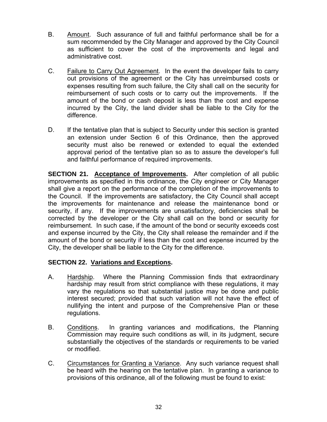- B. Amount. Such assurance of full and faithful performance shall be for a sum recommended by the City Manager and approved by the City Council as sufficient to cover the cost of the improvements and legal and administrative cost.
- C. Failure to Carry Out Agreement. In the event the developer fails to carry out provisions of the agreement or the City has unreimbursed costs or expenses resulting from such failure, the City shall call on the security for reimbursement of such costs or to carry out the improvements. If the amount of the bond or cash deposit is less than the cost and expense incurred by the City, the land divider shall be liable to the City for the difference.
- D. If the tentative plan that is subject to Security under this section is granted an extension under Section 6 of this Ordinance, then the approved security must also be renewed or extended to equal the extended approval period of the tentative plan so as to assure the developer's full and faithful performance of required improvements.

**SECTION 21. Acceptance of Improvements.** After completion of all public improvements as specified in this ordinance, the City engineer or City Manager shall give a report on the performance of the completion of the improvements to the Council. If the improvements are satisfactory, the City Council shall accept the improvements for maintenance and release the maintenance bond or security, if any. If the improvements are unsatisfactory, deficiencies shall be corrected by the developer or the City shall call on the bond or security for reimbursement. In such case, if the amount of the bond or security exceeds cost and expense incurred by the City, the City shall release the remainder and if the amount of the bond or security if less than the cost and expense incurred by the City, the developer shall be liable to the City for the difference.

#### **SECTION 22. Variations and Exceptions.**

- A. Hardship. Where the Planning Commission finds that extraordinary hardship may result from strict compliance with these regulations, it may vary the regulations so that substantial justice may be done and public interest secured; provided that such variation will not have the effect of nullifying the intent and purpose of the Comprehensive Plan or these regulations.
- B. Conditions. In granting variances and modifications, the Planning Commission may require such conditions as will, in its judgment, secure substantially the objectives of the standards or requirements to be varied or modified.
- C. Circumstances for Granting a Variance. Any such variance request shall be heard with the hearing on the tentative plan. In granting a variance to provisions of this ordinance, all of the following must be found to exist: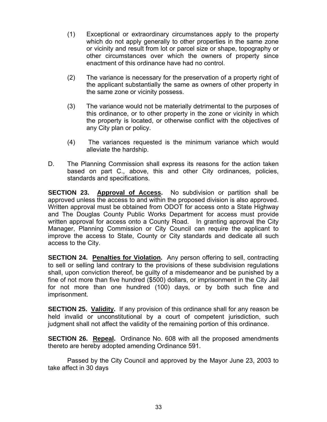- (1) Exceptional or extraordinary circumstances apply to the property which do not apply generally to other properties in the same zone or vicinity and result from lot or parcel size or shape, topography or other circumstances over which the owners of property since enactment of this ordinance have had no control.
- (2) The variance is necessary for the preservation of a property right of the applicant substantially the same as owners of other property in the same zone or vicinity possess.
- (3) The variance would not be materially detrimental to the purposes of this ordinance, or to other property in the zone or vicinity in which the property is located, or otherwise conflict with the objectives of any City plan or policy.
- (4) The variances requested is the minimum variance which would alleviate the hardship.
- D. The Planning Commission shall express its reasons for the action taken based on part C., above, this and other City ordinances, policies, standards and specifications.

**SECTION 23. Approval of Access.** No subdivision or partition shall be approved unless the access to and within the proposed division is also approved. Written approval must be obtained from ODOT for access onto a State Highway and The Douglas County Public Works Department for access must provide written approval for access onto a County Road. In granting approval the City Manager, Planning Commission or City Council can require the applicant to improve the access to State, County or City standards and dedicate all such access to the City.

**SECTION 24. Penalties for Violation.** Any person offering to sell, contracting to sell or selling land contrary to the provisions of these subdivision regulations shall, upon conviction thereof, be guilty of a misdemeanor and be punished by a fine of not more than five hundred (\$500) dollars, or imprisonment in the City Jail for not more than one hundred (100) days, or by both such fine and imprisonment.

**SECTION 25. Validity.** If any provision of this ordinance shall for any reason be held invalid or unconstitutional by a court of competent jurisdiction, such judgment shall not affect the validity of the remaining portion of this ordinance.

**SECTION 26. Repeal.** Ordinance No. 608 with all the proposed amendments thereto are hereby adopted amending Ordinance 591.

 Passed by the City Council and approved by the Mayor June 23, 2003 to take affect in 30 days